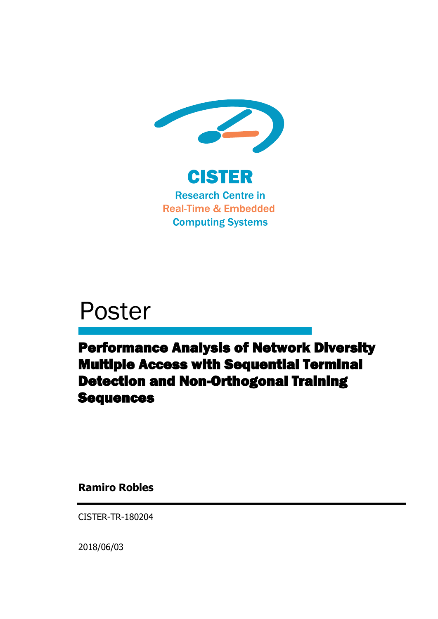

# Poster

Performance Analysis of Network Diversity Multiple Access with Sequential Terminal Detection and Non-Orthogonal Training Sequences

**Ramiro Robles** 

CISTER-TR-180204

2018/06/03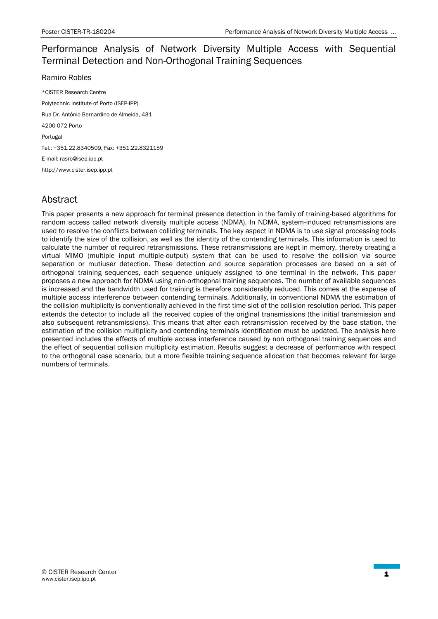## Performance Analysis of Network Diversity Multiple Access with Sequential Terminal Detection and Non-Orthogonal Training Sequences

#### Ramiro Robles

\*CISTER Research Centre Polytechnic Institute of Porto (ISEP-IPP) Rua Dr. António Bernardino de Almeida, 431 4200-072 Porto Portugal Tel.: +351.22.8340509, Fax: +351.22.8321159 E-mail: rasro@isep.ipp.pt http://www.cister.isep.ipp.pt

## Abstract

This paper presents a new approach for terminal presence detection in the family of training-based algorithms for random access called network diversity multiple access (NDMA). In NDMA, system-induced retransmissions are used to resolve the conflicts between colliding terminals. The key aspect in NDMA is to use signal processing tools to identify the size of the collision, as well as the identity of the contending terminals. This information is used to calculate the number of required retransmissions. These retransmissions are kept in memory, thereby creating a virtual MIMO (multiple input multiple-output) system that can be used to resolve the collision via source separation or mutiuser detection. These detection and source separation processes are based on a set of orthogonal training sequences, each sequence uniquely assigned to one terminal in the network. This paper proposes a new approach for NDMA using non-orthogonal training sequences. The number of available sequences is increased and the bandwidth used for training is therefore considerably reduced. This comes at the expense of multiple access interference between contending terminals. Additionally, in conventional NDMA the estimation of the collision multiplicity is conventionally achieved in the first time-slot of the collision resolution period. This paper extends the detector to include all the received copies of the original transmissions (the initial transmission and also subsequent retransmissions). This means that after each retransmission received by the base station, the estimation of the collision multiplicity and contending terminals identification must be updated. The analysis here presented includes the effects of multiple access interference caused by non orthogonal training sequences and the effect of sequential collision multiplicity estimation. Results suggest a decrease of performance with respect to the orthogonal case scenario, but a more flexible training sequence allocation that becomes relevant for large numbers of terminals.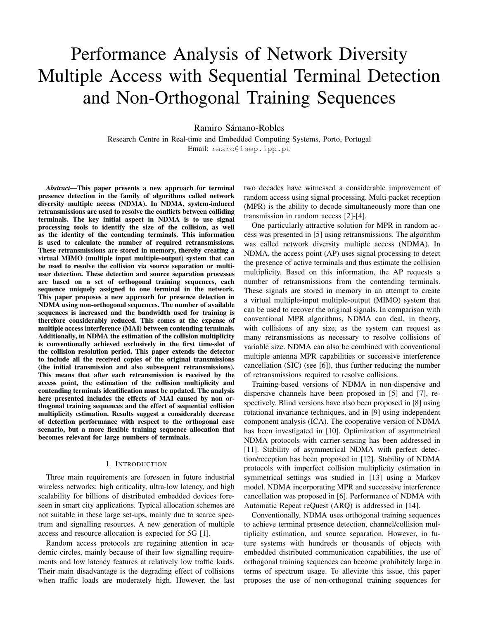# Performance Analysis of Network Diversity Multiple Access with Sequential Terminal Detection and Non-Orthogonal Training Sequences

Ramiro Sámano-Robles

Research Centre in Real-time and Embedded Computing Systems, Porto, Portugal Email: rasro@isep.ipp.pt

*Abstract*—This paper presents a new approach for terminal presence detection in the family of algorithms called network diversity multiple access (NDMA). In NDMA, system-induced retransmissions are used to resolve the conflicts between colliding terminals. The key initial aspect in NDMA is to use signal processing tools to identify the size of the collision, as well as the identity of the contending terminals. This information is used to calculate the number of required retransmissions. These retransmissions are stored in memory, thereby creating a virtual MIMO (multiple input multiple-output) system that can be used to resolve the collision via source separation or multiuser detection. These detection and source separation processes are based on a set of orthogonal training sequences, each sequence uniquely assigned to one terminal in the network. This paper proposes a new approach for presence detection in NDMA using non-orthogonal sequences. The number of available sequences is increased and the bandwidth used for training is therefore considerably reduced. This comes at the expense of multiple access interference (MAI) between contending terminals. Additionally, in NDMA the estimation of the collision multiplicity is conventionally achieved exclusively in the first time-slot of the collision resolution period. This paper extends the detector to include all the received copies of the original transmissions (the initial transmission and also subsequent retransmissions). This means that after each retransmission is received by the access point, the estimation of the collision multiplicity and contending terminals identification must be updated. The analysis here presented includes the effects of MAI caused by non orthogonal training sequences and the effect of sequential collision multiplicity estimation. Results suggest a considerably decrease of detection performance with respect to the orthogonal case scenario, but a more flexible training sequence allocation that becomes relevant for large numbers of terminals.

#### I. INTRODUCTION

Three main requirements are foreseen in future industrial wireless networks: high criticality, ultra-low latency, and high scalability for billions of distributed embedded devices foreseen in smart city applications. Typical allocation schemes are not suitable in these large set-ups, mainly due to scarce spectrum and signalling resources. A new generation of multiple access and resource allocation is expected for 5G [1].

Random access protocols are regaining attention in academic circles, mainly because of their low signalling requirements and low latency features at relatively low traffic loads. Their main disadvantage is the degrading effect of collisions when traffic loads are moderately high. However, the last two decades have witnessed a considerable improvement of random access using signal processing. Multi-packet reception (MPR) is the ability to decode simultaneously more than one transmission in random access [2]-[4].

One particularly attractive solution for MPR in random access was presented in [5] using retransmissions. The algorithm was called network diversity multiple access (NDMA). In NDMA, the access point (AP) uses signal processing to detect the presence of active terminals and thus estimate the collision multiplicity. Based on this information, the AP requests a number of retransmissions from the contending terminals. These signals are stored in memory in an attempt to create a virtual multiple-input multiple-output (MIMO) system that can be used to recover the original signals. In comparison with conventional MPR algorithms, NDMA can deal, in theory, with collisions of any size, as the system can request as many retransmissions as necessary to resolve collisions of variable size. NDMA can also be combined with conventional multiple antenna MPR capabilities or successive interference cancellation (SIC) (see [6]), thus further reducing the number of retransmissions required to resolve collisions.

Training-based versions of NDMA in non-dispersive and dispersive channels have been proposed in [5] and [7], respectively. Blind versions have also been proposed in [8] using rotational invariance techniques, and in [9] using independent component analysis (ICA). The cooperative version of NDMA has been investigated in [10]. Optimization of asymmetrical NDMA protocols with carrier-sensing has been addressed in [11]. Stability of asymmetrical NDMA with perfect detection/reception has been proposed in [12]. Stability of NDMA protocols with imperfect collision multiplicity estimation in symmetrical settings was studied in [13] using a Markov model. NDMA incorporating MPR and successive interference cancellation was proposed in [6]. Performance of NDMA with Automatic Repeat reQuest (ARQ) is addressed in [14].

Conventionally, NDMA uses orthogonal training sequences to achieve terminal presence detection, channel/collision multiplicity estimation, and source separation. However, in future systems with hundreds or thousands of objects with embedded distributed communication capabilities, the use of orthogonal training sequences can become prohibitely large in terms of spectrum usage. To alleviate this issue, this paper proposes the use of non-orthogonal training sequences for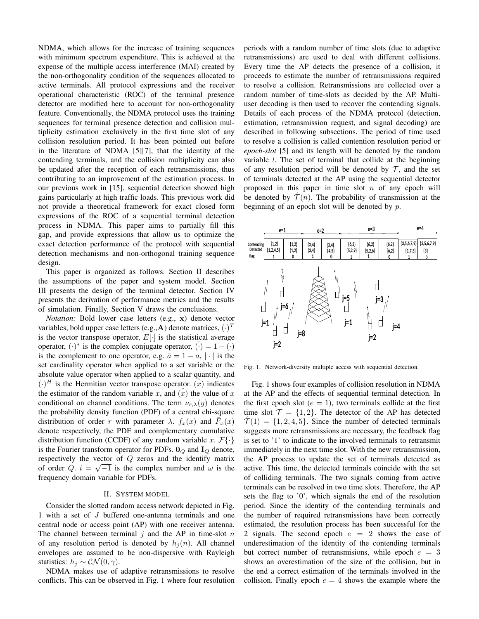NDMA, which allows for the increase of training sequences with minimum spectrum expenditure. This is achieved at the expense of the multiple access interference (MAI) created by the non-orthogonality condition of the sequences allocated to active terminals. All protocol expressions and the receiver operational characteristic (ROC) of the terminal presence detector are modified here to account for non-orthogonality feature. Conventionally, the NDMA protocol uses the training sequences for terminal presence detection and collision multiplicity estimation exclusively in the first time slot of any collision resolution period. It has been pointed out before in the literature of NDMA [5][7], that the identity of the contending terminals, and the collision multiplicity can also be updated after the reception of each retransmissions, thus contributing to an improvement of the estimation process. In our previous work in [15], sequential detection showed high gains particularly at high traffic loads. This previous work did not provide a theoretical framework for exact closed form expressions of the ROC of a sequential terminal detection process in NDMA. This paper aims to partially fill this gap, and provide expressions that allow us to optimize the exact detection performance of the protocol with sequential detection mechanisms and non-orthogonal training sequence design.

This paper is organized as follows. Section II describes the assumptions of the paper and system model. Section III presents the design of the terminal detector. Section IV presents the derivation of performance metrics and the results of simulation. Finally, Section V draws the conclusions.

*Notation:* Bold lower case letters (e.g., x) denote vector variables, bold upper case letters (e.g., **A**) denote matrices,  $(\cdot)^T$ is the vector transpose operator,  $E[\cdot]$  is the statistical average operator,  $(\cdot)^*$  is the complex conjugate operator,  $(\overline{\cdot}) = 1 - (\cdot)$ is the complement to one operator, e.g.  $\bar{a} = 1 - a$ , | · | is the set cardinality operator when applied to a set variable or the absolute value operator when applied to a scalar quantity, and  $(\cdot)^H$  is the Hermitian vector transpose operator.  $(\hat{x})$  indicates the estimator of the random variable x, and  $(x)$  the value of x conditional on channel conditions. The term  $\nu_{r,\lambda}(y)$  denotes the probability density function (PDF) of a central chi-square distribution of order r with parameter  $\lambda$ .  $f_x(x)$  and  $\overline{F}_x(x)$ denote respectively, the PDF and complementary cumulative distribution function (CCDF) of any random variable x.  $\mathcal{F}\{\cdot\}$ is the Fourier transform operator for PDFs.  $\mathbf{0}_Q$  and  $\mathbf{I}_Q$  denote, respectively the vector of Q zeros and the identify matrix of order  $Q$ ,  $i = \sqrt{-1}$  is the complex number and  $\omega$  is the frequency domain variable for PDFs.

#### II. SYSTEM MODEL

Consider the slotted random access network depicted in Fig. 1 with a set of J buffered one-antenna terminals and one central node or access point (AP) with one receiver antenna. The channel between terminal  $j$  and the AP in time-slot  $n$ of any resolution period is denoted by  $h_i(n)$ . All channel envelopes are assumed to be non-dispersive with Rayleigh statistics:  $h_i \sim \mathcal{CN}(0,\gamma)$ .

NDMA makes use of adaptive retransmissions to resolve conflicts. This can be observed in Fig. 1 where four resolution periods with a random number of time slots (due to adaptive retransmissions) are used to deal with different collisions. Every time the AP detects the presence of a collision, it proceeds to estimate the number of retransmissions required to resolve a collision. Retransmissions are collected over a random number of time-slots as decided by the AP. Multiuser decoding is then used to recover the contending signals. Details of each process of the NDMA protocol (detection, estimation, retransmission request, and signal decoding) are described in following subsections. The period of time used to resolve a collision is called contention resolution period or *epoch-slot* [5] and its length will be denoted by the random variable l. The set of terminal that collide at the beginning of any resolution period will be denoted by  $\mathcal T$ , and the set of terminals detected at the AP using the sequential detector proposed in this paper in time slot  $n$  of any epoch will be denoted by  $\mathcal{T}(n)$ . The probability of transmission at the beginning of an epoch slot will be denoted by  $p$ .



Fig. 1. Network-diversity multiple access with sequential detection.

Fig. 1 shows four examples of collision resolution in NDMA at the AP and the effects of sequential terminal detection. In the first epoch slot ( $e = 1$ ), two terminals collide at the first time slot  $\mathcal{T} = \{1, 2\}$ . The detector of the AP has detected  $\mathcal{T}(1) = \{1, 2, 4, 5\}$ . Since the number of detected terminals suggests more retransmissions are necessary, the feedback flag is set to '1' to indicate to the involved terminals to retransmit immediately in the next time slot. With the new retransmission, the AP process to update the set of terminals detected as active. This time, the detected terminals coincide with the set of colliding terminals. The two signals coming from active terminals can be resolved in two time slots. Therefore, the AP sets the flag to '0', which signals the end of the resolution period. Since the identity of the contending terminals and the number of required retransmissions have been correctly estimated, the resolution process has been successful for the 2 signals. The second epoch  $e = 2$  shows the case of underestimation of the identity of the contending terminals but correct number of retransmisions, while epoch  $e = 3$ shows an overestimation of the size of the collision, but in the end a correct estimation of the terminals involved in the collision. Finally epoch  $e = 4$  shows the example where the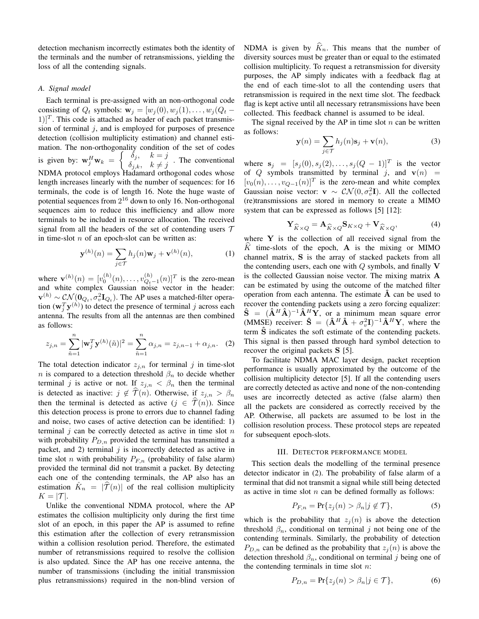detection mechanism incorrectly estimates both the identity of the terminals and the number of retransmissions, yielding the loss of all the contending signals.

#### *A. Signal model*

Each terminal is pre-assigned with an non-orthogonal code consisting of  $Q_t$  symbols:  $\mathbf{w}_i = [w_i(0), w_i(1), \dots, w_i(Q_t -$ 1)]<sup>T</sup>. This code is attached as header of each packet transmission of terminal  $j$ , and is employed for purposes of presence detection (collision multiplicity estimation) and channel estimation. The non-orthogonality condition of the set of codes is given by:  $\mathbf{w}_j^H \mathbf{w}_k =$  $\int \tilde{\delta}_j, \quad k = j$  $\delta_{j,k}$ ,  $\kappa = j$ . The conventional  $\delta_{j,k}$ ,  $k \neq j$ NDMA protocol employs Hadamard orthogonal codes whose length increases linearly with the number of sequences: for 16 terminals, the code is of length 16. Note the huge waste of potential sequences from  $2^{16}$  down to only 16. Non-orthogonal sequences aim to reduce this inefficiency and allow more terminals to be included in resource allocation. The received signal from all the headers of the set of contending users  $T$ in time-slot  $n$  of an epoch-slot can be written as:

$$
\mathbf{y}^{(h)}(n) = \sum_{j \in \mathcal{T}} h_j(n) \mathbf{w}_j + \mathbf{v}^{(h)}(n), \tag{1}
$$

where  $\mathbf{v}^{(h)}(n) = [v_0^{(h)}(n), \dots, v_{Q_t}^{(h)}]$  $\binom{n}{Q_t-1}(n)$ <sup>T</sup> is the zero-mean and white complex Gaussian noise vector in the header:  $\mathbf{v}^{(h)} \sim \mathcal{CN}(\mathbf{0}_{Q_t}, \sigma_v^2 \mathbf{I}_{Q_t})$ . The AP uses a matched-filter operation  $(\mathbf{w}_j^T \mathbf{y}^{(h)})$  to detect the presence of terminal j across each antenna. The results from all the antennas are then combined as follows:

$$
z_{j,n} = \sum_{\tilde{n}=1}^{n} |\mathbf{w}_{j}^{T} \mathbf{y}^{(h)}(\tilde{n})|^{2} = \sum_{\tilde{n}=1}^{n} \alpha_{j,n} = z_{j,n-1} + \alpha_{j,n}.
$$
 (2)

The total detection indicator  $z_{j,n}$  for terminal j in time-slot n is compared to a detection threshold  $\beta_n$  to decide whether terminal j is active or not. If  $z_{j,n} < \beta_n$  then the terminal is detected as inactive:  $j \notin \widehat{T}(n)$ . Otherwise, if  $z_{j,n} > \beta_n$ then the terminal is detected as active  $(j \in \mathcal{T}(n))$ . Since this detection process is prone to errors due to channel fading and noise, two cases of active detection can be identified: 1) terminal  $i$  can be correctly detected as active in time slot  $n$ with probability  $P_{D,n}$  provided the terminal has transmitted a packet, and 2) terminal  $j$  is incorrectly detected as active in time slot *n* with probability  $P_{F,n}$  (probability of false alarm) provided the terminal did not transmit a packet. By detecting each one of the contending terminals, the AP also has an estimation  $\hat{K}_n = |\hat{\mathcal{T}}(n)|$  of the real collision multiplicity  $K = |\mathcal{T}|.$ 

Unlike the conventional NDMA protocol, where the AP estimates the collision multiplicity only during the first time slot of an epoch, in this paper the AP is assumed to refine this estimation after the collection of every retransmission within a collision resolution period. Therefore, the estimated number of retransmissions required to resolve the collision is also updated. Since the AP has one receive antenna, the number of transmissions (including the initial transmission plus retransmissions) required in the non-blind version of NDMA is given by  $\hat{K}_n$ . This means that the number of diversity sources must be greater than or equal to the estimated collision multiplicity. To request a retransmission for diversity purposes, the AP simply indicates with a feedback flag at the end of each time-slot to all the contending users that retransmission is required in the next time slot. The feedback flag is kept active until all necessary retransmissions have been collected. This feedback channel is assumed to be ideal.

The signal received by the AP in time slot  $n$  can be written as follows:

$$
\mathbf{y}(n) = \sum_{j \in \mathcal{T}} h_j(n) \mathbf{s}_j + \mathbf{v}(n),\tag{3}
$$

where  $s_j = [s_j(0), s_j(2), \dots, s_j(Q-1)]^T$  is the vector of Q symbols transmitted by terminal j, and  $\mathbf{v}(n)$  =  $[v_0(n), \ldots, v_{Q-1}(n)]^T$  is the zero-mean and white complex Gaussian noise vector:  $\mathbf{v} \sim \mathcal{CN}(0, \sigma_v^2 \mathbf{I})$ . All the collected (re)transmissions are stored in memory to create a MIMO system that can be expressed as follows [5] [12]:

$$
\mathbf{Y}_{\widehat{K}\times Q} = \mathbf{A}_{\widehat{K}\times Q} \mathbf{S}_{K\times Q} + \mathbf{V}_{\widehat{K}\times Q},\tag{4}
$$

where  $Y$  is the collection of all received signal from the K time-slots of the epoch,  $A$  is the mixing or MIMO channel matrix, S is the array of stacked packets from all the contending users, each one with  $Q$  symbols, and finally  $V$ is the collected Gaussian noise vector. The mixing matrix A can be estimated by using the outcome of the matched filter operation from each antenna. The estimate  $A$  can be used to recover the contending packets using a zero forcing equalizer:  $\hat{\mathbf{S}} = (\hat{\mathbf{A}}^H \hat{\mathbf{A}})^{-1} \hat{\mathbf{A}}^H \mathbf{Y}$ , or a minimum mean square error (MMSE) receiver:  $\hat{\mathbf{S}} = (\hat{\mathbf{A}}^H \hat{\mathbf{A}} + \sigma_v^2 \mathbf{I})^{-1} \hat{\mathbf{A}}^H \mathbf{Y}$ , where the term  $\hat{S}$  indicates the soft estimate of the contending packets. This signal is then passed through hard symbol detection to recover the original packets S [5].

To facilitate NDMA MAC layer design, packet reception performance is usually approximated by the outcome of the collision multiplicity detector [5]. If all the contending users are correctly detected as active and none of the non-contending uses are incorrectly detected as active (false alarm) then all the packets are considered as correctly received by the AP. Otherwise, all packets are assumed to be lost in the collision resolution process. These protocol steps are repeated for subsequent epoch-slots.

#### III. DETECTOR PERFORMANCE MODEL

This section deals the modelling of the terminal presence detector indicator in (2). The probability of false alarm of a terminal that did not transmit a signal while still being detected as active in time slot  $n$  can be defined formally as follows:

$$
P_{F,n} = \Pr\{z_j(n) > \beta_n | j \notin \mathcal{T}\},\tag{5}
$$

which is the probability that  $z_j(n)$  is above the detection threshold  $\beta_n$ , conditional on terminal j not being one of the contending terminals. Similarly, the probability of detection  $P_{D,n}$  can be defined as the probability that  $z_i(n)$  is above the detection threshold  $\beta_n$ , conditional on terminal j being one of the contending terminals in time slot  $n$ :

$$
P_{D,n} = \Pr\{z_j(n) > \beta_n | j \in \mathcal{T}\},\tag{6}
$$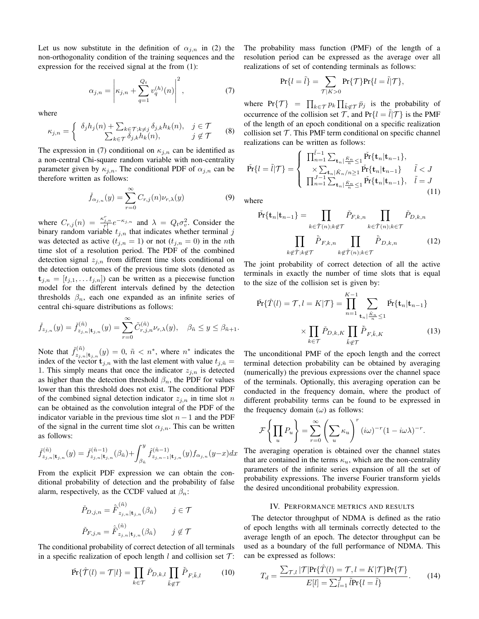Let us now substitute in the definition of  $\alpha_{i,n}$  in (2) the non-orthogonality condition of the training sequences and the expression for the received signal at the from (1):

$$
\alpha_{j,n} = \left| \kappa_{j,n} + \sum_{q=1}^{Q_t} v_q^{(h)}(n) \right|^2, \tag{7}
$$

where

$$
\kappa_{j,n} = \begin{cases} \delta_j h_j(n) + \sum_{k \in \mathcal{T}; k \neq j} \delta_{j,k} h_k(n), & j \in \mathcal{T} \\ \sum_{k \in \mathcal{T}} \delta_{j,k} h_k(n), & j \notin \mathcal{T} \end{cases}
$$
 (8)

The expression in (7) conditional on  $\kappa_{j,n}$  can be identified as a non-central Chi-square random variable with non-centrality parameter given by  $\kappa_{j,n}$ . The conditional PDF of  $\alpha_{j,n}$  can be therefore written as follows:

$$
\check{f}_{\alpha_{j,n}}(y) = \sum_{r=0}^{\infty} C_{r,j}(n) \nu_{r,\lambda}(y)
$$
\n(9)

where  $C_{r,j}(n) = \frac{\kappa_{j,n}^r}{r!} e^{-\kappa_{j,n}}$  and  $\lambda = Q_t \sigma_v^2$ . Consider the binary random variable  $t_{j,n}$  that indicates whether terminal j was detected as active  $(t_{j,n} = 1)$  or not  $(t_{j,n} = 0)$  in the *n*th time slot of a resolution period. The PDF of the combined detection signal  $z_{j,n}$  from different time slots conditional on the detection outcomes of the previous time slots (denoted as  $\mathbf{t}_{j,n} = [t_{j,1}, \ldots t_{j,n}]$  can be written as a piecewise function model for the different intervals defined by the detection thresholds  $\beta_n$ , each one expanded as an infinite series of central chi-square distributions as follows:

$$
\check{f}_{z_j,n}(y) = \check{f}_{z_j,n}^{(\tilde{n})}(\mathbf{t}_j, \mathbf{t}_j}(y)) = \sum_{r=0}^{\infty} \tilde{C}_{r,j,n}^{(\tilde{n})} \nu_{r,\lambda}(y), \quad \beta_{\tilde{n}} \leq y \leq \beta_{\tilde{n}+1}.
$$

Note that  $\check{f}_{z_{j,n}|{\bf t}_{j,n}}^{(\tilde{n})}(y) = 0$ ,  $\tilde{n} < n^*$ , where  $n^*$  indicates the index of the vector  $\mathbf{t}_{j,n}$  with the last element with value  $t_{j,n} =$ 1. This simply means that once the indicator  $z_{i,n}$  is detected as higher than the detection threshold  $\beta_n$ , the PDF for values lower than this threshold does not exist. The conditional PDF of the combined signal detection indicator  $z_{j,n}$  in time slot n can be obtained as the convolution integral of the PDF of the indicator variable in the previous time slot  $n-1$  and the PDF of the signal in the current time slot  $\alpha_{j,n}$ . This can be written as follows:

$$
\check{f}_{z_{j,n}|\mathbf{t}_{j,n}}^{(\tilde{n})}(y) = \check{f}_{z_{j,n}|\mathbf{t}_{j,n}}^{(\tilde{n}-1)}(\beta_{\tilde{n}}) + \int_{\beta_{\tilde{n}}}^{y} \hat{f}_{z_{j,n-1}|\mathbf{t}_{j,n}}^{(\tilde{n}-1)}(y) f_{\alpha_{j,n}}(y-x) dx
$$

From the explicit PDF expression we can obtain the conditional probability of detection and the probability of false alarm, respectively, as the CCDF valued at  $\beta_n$ :

$$
\check{P}_{D,j,n} = \hat{\bar{F}}_{z_{j,n}|\mathbf{t}_{j,n}}^{(\tilde{n})}(\beta_{\tilde{n}}) \qquad j \in \mathcal{T}
$$

$$
\check{P}_{F,j,n} = \hat{\bar{F}}_{z_{j,n}|\mathbf{t}_{j,n}}^{(\tilde{n})}(\beta_{\tilde{n}}) \qquad j \notin \mathcal{T}
$$

The conditional probability of correct detection of all terminals in a specific realization of epoch length l and collision set  $\mathcal{T}$ :

$$
\check{\Pr}\{\hat{\mathcal{T}}(l) = \mathcal{T}|l\} = \prod_{k \in \mathcal{T}} \check{P}_{D,k,l} \prod_{\tilde{k} \notin \mathcal{T}} \check{\bar{P}}_{F,\tilde{k},l} \tag{10}
$$

The probability mass function (PMF) of the length of a resolution period can be expressed as the average over all realizations of set of contending terminals as follows:

$$
\Pr\{l=\tilde{l}\}=\sum_{\mathcal{T}|K>0}\Pr\{\mathcal{T}\}\Pr\{l=\tilde{l}|\mathcal{T}\},
$$

where  $\Pr{\mathcal{T}} = \prod_{k \in \mathcal{T}} p_k \prod_{\tilde{k} \notin \mathcal{T}} \bar{p}_j$  is the probability of occurrence of the collision set T, and  $Pr\{l = l | T\}$  is the PMF of the length of an epoch conditional on a specific realization collision set  $T$ . This PMF term conditional on specific channel realizations can be written as follows:

$$
\tilde{\Pr}\{l=\tilde{l}|\mathcal{T}\}=\left\{\begin{array}{ll}\prod_{n=1}^{\tilde{l}-1}\sum_{\mathbf{t}_n|\frac{\tilde{K}_n}{n}\leq 1}\check{\Pr}\{\mathbf{t}_n|\mathbf{t}_{n-1}\},\\ \times\sum_{\mathbf{t}_n|\hat{K}_n/n\geq 1}\check{\Pr}\{\mathbf{t}_n|\mathbf{t}_{n-1}\} & \tilde{l} < J\\ \prod_{n=1}^{J-1}\sum_{\mathbf{t}_n|\frac{\tilde{K}_n}{n}\leq 1}\check{\Pr}\{\mathbf{t}_n|\mathbf{t}_{n-1}\}, & \tilde{l} = J\end{array}\right. \tag{11}
$$

where

$$
\tilde{\Pr}\{\mathbf{t}_n|\mathbf{t}_{n-1}\} = \prod_{k \in \hat{\mathcal{T}}(n); k \notin \mathcal{T}} \tilde{P}_{F,k,n} \prod_{k \in \hat{\mathcal{T}}(n); k \in \mathcal{T}} \tilde{P}_{D,k,n}
$$
\n
$$
\prod_{k \notin \hat{\mathcal{T}}; k \notin \mathcal{T}} \tilde{P}_{F,k,n} \prod_{k \notin \hat{\mathcal{T}}(n); k \in \mathcal{T}} \tilde{P}_{D,k,n} \qquad (12)
$$

The joint probability of correct detection of all the active terminals in exactly the number of time slots that is equal to the size of the collision set is given by:

$$
\tilde{\Pr}\{\hat{T}(l) = \mathcal{T}, l = K|\mathcal{T}\} = \prod_{n=1}^{K-1} \sum_{\substack{\mathbf{t}_n|\frac{\hat{K}_n}{n} \le 1}} \tilde{\Pr}\{\mathbf{t}_n|\mathbf{t}_{n-1}\}
$$
\n
$$
\times \prod_{k \in \mathcal{T}} \tilde{P}_{D,k,K} \prod_{\tilde{k} \notin \mathcal{T}} \tilde{\bar{P}}_{F,\tilde{k},K} \tag{13}
$$

The unconditional PMF of the epoch length and the correct terminal detection probability can be obtained by averaging (numerically) the previous expressions over the channel space of the terminals. Optionally, this averaging operation can be conducted in the frequency domain, where the product of different probability terms can be found to be expressed in the frequency domain  $(\omega)$  as follows:

$$
\mathcal{F}\left\{\prod_{u} P_u\right\} = \sum_{r=0}^{\infty} \left(\sum_{u} \kappa_u\right)^r (i\omega)^{-r} (1 - i\omega\lambda)^{-r}.
$$

The averaging operation is obtained over the channel states that are contained in the terms  $\kappa_u$ , which are the non-centrality parameters of the infinite series expansion of all the set of probability expressions. The inverse Fourier transform yields the desired unconditional probability expression.

#### IV. PERFORMANCE METRICS AND RESULTS

The detector throughput of NDMA is defined as the ratio of epoch lengths with all terminals correctly detected to the average length of an epoch. The detector throughput can be used as a boundary of the full performance of NDMA. This can be expressed as follows:

$$
T_d = \frac{\sum_{\mathcal{T},l} |\mathcal{T}| \Pr{\hat{T}(l) = \mathcal{T}, l = K|\mathcal{T}\} \Pr{\mathcal{T}\}}{E[l] = \sum_{\tilde{l}=1}^{J} \tilde{l} \Pr{\{l = \tilde{l}\}}}. \tag{14}
$$